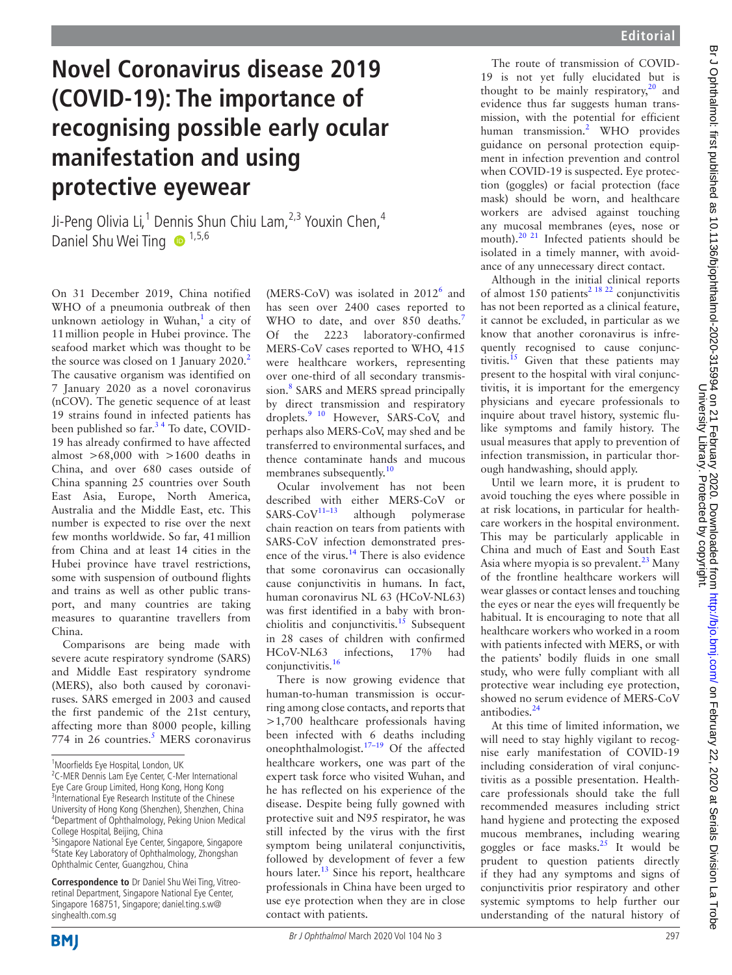## **Novel Coronavirus disease 2019 (COVID-19): The importance of recognising possible early ocular manifestation and using protective eyewear**

Ji-Peng Olivia Li,<sup>1</sup> Dennis Shun Chiu Lam,<sup>2,3</sup> Youxin Chen,<sup>4</sup> Daniel Shu Wei Ting  $\bullet$  1,5,6

On 31 December 2019, China notified WHO of a pneumonia outbreak of then unknown aetiology in Wuhan,<sup>[1](#page-1-0)</sup> a city of 11million people in Hubei province. The seafood market which was thought to be the source was closed on 1 January [2](#page-1-1)020.<sup>2</sup> The causative organism was identified on 7 January 2020 as a novel coronavirus (nCOV). The genetic sequence of at least 19 strains found in infected patients has been published so far.<sup>34</sup> To date, COVID-19 has already confirmed to have affected almost  $>68,000$  with  $>1600$  deaths in China, and over 680 cases outside of China spanning 25 countries over South East Asia, Europe, North America, Australia and the Middle East, etc. This number is expected to rise over the next few months worldwide. So far, 41million from China and at least 14 cities in the Hubei province have travel restrictions, some with suspension of outbound flights and trains as well as other public transport, and many countries are taking measures to quarantine travellers from China.

Comparisons are being made with severe acute respiratory syndrome (SARS) and Middle East respiratory syndrome (MERS), also both caused by coronaviruses. SARS emerged in 2003 and caused the first pandemic of the 21st century, affecting more than 8000 people, killing 774 in 26 countries.<sup>5</sup> MERS coronavirus

**Correspondence to** Dr Daniel Shu Wei Ting, Vitreoretinal Department, Singapore National Eye Center, Singapore 168751, Singapore; daniel.ting.s.w@ singhealth.com.sg

(MERS-CoV) was isolated in 2012<sup>[6](#page-1-4)</sup> and has seen over 2400 cases reported to WHO to date, and over 850 deaths.<sup>7</sup> Of the 2223 laboratory-confirmed MERS-CoV cases reported to WHO, 415 were healthcare workers, representing over one-third of all secondary transmis-sion.<sup>[8](#page-1-6)</sup> SARS and MERS spread principally by direct transmission and respiratory droplets.<sup>9</sup> <sup>10</sup> However, SARS-CoV, and perhaps also MERS-CoV, may shed and be transferred to environmental surfaces, and thence contaminate hands and mucous membranes subsequently.<sup>[10](#page-1-8)</sup>

Ocular involvement has not been described with either MERS-CoV or SARS-CoV<sup>11-13</sup> although polymerase although polymerase chain reaction on tears from patients with SARS-CoV infection demonstrated pres-ence of the virus.<sup>[14](#page-1-10)</sup> There is also evidence that some coronavirus can occasionally cause conjunctivitis in humans. In fact, human coronavirus NL 63 (HCoV-NL63) was first identified in a baby with bronchiolitis and conjunctivitis.<sup>15</sup> Subsequent in 28 cases of children with confirmed HCoV-NL63 infections, 17% had conjunctivitis[.16](#page-1-12)

There is now growing evidence that human-to-human transmission is occurring among close contacts, and reports that >1,700 healthcare professionals having been infected with 6 deaths including oneophthalmologist.<sup>17-19</sup> Of the affected healthcare workers, one was part of the expert task force who visited Wuhan, and he has reflected on his experience of the disease. Despite being fully gowned with protective suit and N95 respirator, he was still infected by the virus with the first symptom being unilateral conjunctivitis, followed by development of fever a few hours later.<sup>13</sup> Since his report, healthcare professionals in China have been urged to use eye protection when they are in close contact with patients.

The route of transmission of COVID-19 is not yet fully elucidated but is thought to be mainly respiratory,<sup>[20](#page-1-15)</sup> and evidence thus far suggests human transmission, with the potential for efficient human transmission.<sup>[2](#page-1-1)</sup> WHO provides guidance on personal protection equipment in infection prevention and control when COVID-19 is suspected. Eye protection (goggles) or facial protection (face mask) should be worn, and healthcare workers are advised against touching any mucosal membranes (eyes, nose or mouth).<sup>[20 21](#page-1-15)</sup> Infected patients should be isolated in a timely manner, with avoidance of any unnecessary direct contact.

Although in the initial clinical reports of almost 150 patients<sup>[2 18 22](#page-1-1)</sup> conjunctivitis has not been reported as a clinical feature, it cannot be excluded, in particular as we know that another coronavirus is infrequently recognised to cause conjunc-tivitis.<sup>[15](#page-1-11)</sup> Given that these patients may present to the hospital with viral conjunctivitis, it is important for the emergency physicians and eyecare professionals to inquire about travel history, systemic flulike symptoms and family history. The usual measures that apply to prevention of infection transmission, in particular thorough handwashing, should apply.

Until we learn more, it is prudent to avoid touching the eyes where possible in at risk locations, in particular for healthcare workers in the hospital environment. This may be particularly applicable in China and much of East and South East Asia where myopia is so prevalent.<sup>23</sup> Many of the frontline healthcare workers will wear glasses or contact lenses and touching the eyes or near the eyes will frequently be habitual. It is encouraging to note that all healthcare workers who worked in a room with patients infected with MERS, or with the patients' bodily fluids in one small study, who were fully compliant with all protective wear including eye protection, showed no serum evidence of MERS-CoV antibodies.<sup>[24](#page-1-17)</sup>

At this time of limited information, we will need to stay highly vigilant to recognise early manifestation of COVID-19 including consideration of viral conjunctivitis as a possible presentation. Healthcare professionals should take the full recommended measures including strict hand hygiene and protecting the exposed mucous membranes, including wearing goggles or face masks.[25](#page-1-18) It would be prudent to question patients directly if they had any symptoms and signs of conjunctivitis prior respiratory and other systemic symptoms to help further our understanding of the natural history of



<sup>1</sup> Moorfields Eye Hospital, London, UK

<sup>&</sup>lt;sup>2</sup>C-MER Dennis Lam Eye Center, C-Mer International Eye Care Group Limited, Hong Kong, Hong Kong <sup>3</sup> BJC EXISTED Eye Research Institute of the Chinese University of Hong Kong (Shenzhen), Shenzhen, China 4 Department of Ophthalmology, Peking Union Medical College Hospital, Beijing, China

<sup>5</sup> Singapore National Eye Center, Singapore, Singapore 6 State Key Laboratory of Ophthalmology, Zhongshan Ophthalmic Center, Guangzhou, China